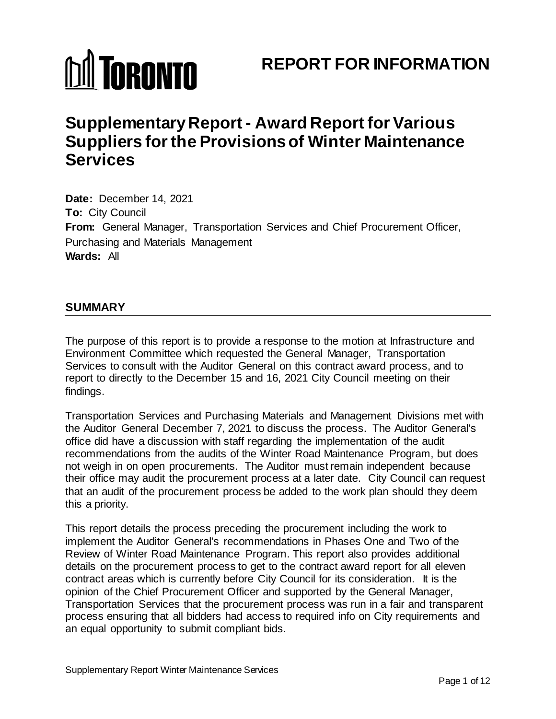# **MI TORONTO**

# **REPORT FOR INFORMATION**

# **Supplementary Report - Award Report for Various Suppliers for the Provisions of Winter Maintenance Services**

**Date:** December 14, 2021 **To:** City Council **From:** General Manager, Transportation Services and Chief Procurement Officer, Purchasing and Materials Management **Wards:** All

# **SUMMARY**

The purpose of this report is to provide a response to the motion at Infrastructure and Environment Committee which requested the General Manager, Transportation Services to consult with the Auditor General on this contract award process, and to report to directly to the December 15 and 16, 2021 City Council meeting on their findings.

Transportation Services and Purchasing Materials and Management Divisions met with the Auditor General December 7, 2021 to discuss the process. The Auditor General's office did have a discussion with staff regarding the implementation of the audit recommendations from the audits of the Winter Road Maintenance Program, but does not weigh in on open procurements. The Auditor must remain independent because their office may audit the procurement process at a later date. City Council can request that an audit of the procurement process be added to the work plan should they deem this a priority.

This report details the process preceding the procurement including the work to implement the Auditor General's recommendations in Phases One and Two of the Review of Winter Road Maintenance Program. This report also provides additional details on the procurement process to get to the contract award report for all eleven contract areas which is currently before City Council for its consideration. It is the opinion of the Chief Procurement Officer and supported by the General Manager, Transportation Services that the procurement process was run in a fair and transparent process ensuring that all bidders had access to required info on City requirements and an equal opportunity to submit compliant bids.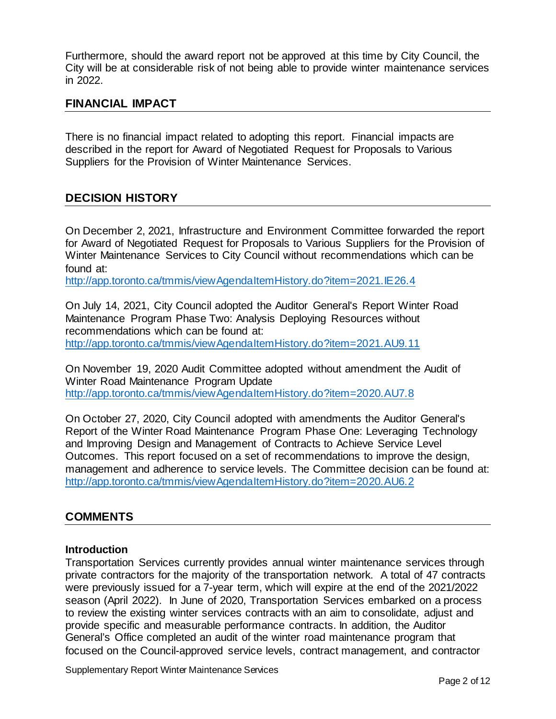Furthermore, should the award report not be approved at this time by City Council, the City will be at considerable risk of not being able to provide winter maintenance services in 2022.

# **FINANCIAL IMPACT**

There is no financial impact related to adopting this report. Financial impacts are described in the report for Award of Negotiated Request for Proposals to Various Suppliers for the Provision of Winter Maintenance Services.

# **DECISION HISTORY**

On December 2, 2021, Infrastructure and Environment Committee forwarded the report for Award of Negotiated Request for Proposals to Various Suppliers for the Provision of Winter Maintenance Services to City Council without recommendations which can be found at:

http://app.toronto.ca/tmmis/viewAgendaItemHistory.do?item=2021.IE26.4

On July 14, 2021, City Council adopted the Auditor General's Report Winter Road Maintenance Program Phase Two: Analysis Deploying Resources without recommendations which can be found at: <http://app.toronto.ca/tmmis/viewAgendaItemHistory.do?item=2021.AU9.11>

On November 19, 2020 Audit Committee adopted without amendment the Audit of Winter Road Maintenance Program Update <http://app.toronto.ca/tmmis/viewAgendaItemHistory.do?item=2020.AU7.8>

On October 27, 2020, City Council adopted with amendments the Auditor General's Report of the Winter Road Maintenance Program Phase One: Leveraging Technology and Improving Design and Management of Contracts to Achieve Service Level Outcomes. This report focused on a set of recommendations to improve the design, management and adherence to service levels. The Committee decision can be found at: <http://app.toronto.ca/tmmis/viewAgendaItemHistory.do?item=2020.AU6.2>

# **COMMENTS**

#### **Introduction**

Transportation Services currently provides annual winter maintenance services through private contractors for the majority of the transportation network. A total of 47 contracts were previously issued for a 7-year term, which will expire at the end of the 2021/2022 season (April 2022). In June of 2020, Transportation Services embarked on a process to review the existing winter services contracts with an aim to consolidate, adjust and provide specific and measurable performance contracts. In addition, the Auditor General's Office completed an audit of the winter road maintenance program that focused on the Council-approved service levels, contract management, and contractor

Supplementary Report Winter Maintenance Services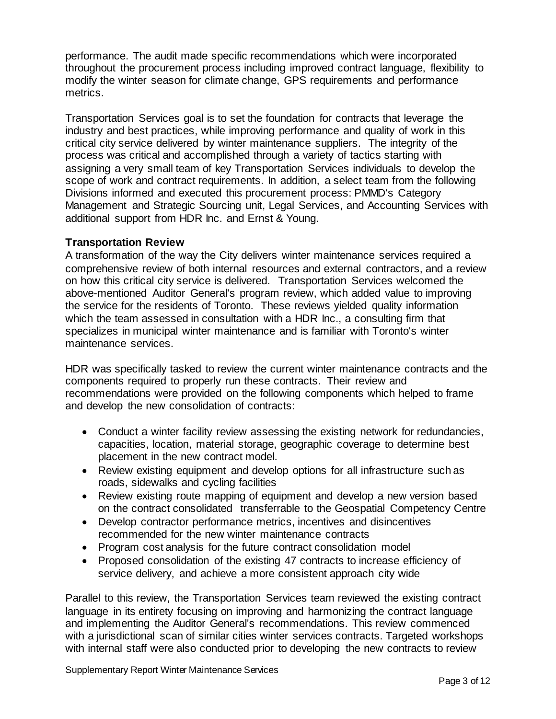performance. The audit made specific recommendations which were incorporated throughout the procurement process including improved contract language, flexibility to modify the winter season for climate change, GPS requirements and performance metrics.

Transportation Services goal is to set the foundation for contracts that leverage the industry and best practices, while improving performance and quality of work in this critical city service delivered by winter maintenance suppliers. The integrity of the process was critical and accomplished through a variety of tactics starting with assigning a very small team of key Transportation Services individuals to develop the scope of work and contract requirements. In addition, a select team from the following Divisions informed and executed this procurement process: PMMD's Category Management and Strategic Sourcing unit, Legal Services, and Accounting Services with additional support from HDR Inc. and Ernst & Young.

#### **Transportation Review**

A transformation of the way the City delivers winter maintenance services required a comprehensive review of both internal resources and external contractors, and a review on how this critical city service is delivered. Transportation Services welcomed the above-mentioned Auditor General's program review, which added value to improving the service for the residents of Toronto. These reviews yielded quality information which the team assessed in consultation with a HDR Inc., a consulting firm that specializes in municipal winter maintenance and is familiar with Toronto's winter maintenance services.

HDR was specifically tasked to review the current winter maintenance contracts and the components required to properly run these contracts. Their review and recommendations were provided on the following components which helped to frame and develop the new consolidation of contracts:

- Conduct a winter facility review assessing the existing network for redundancies, capacities, location, material storage, geographic coverage to determine best placement in the new contract model.
- Review existing equipment and develop options for all infrastructure such as roads, sidewalks and cycling facilities
- Review existing route mapping of equipment and develop a new version based on the contract consolidated transferrable to the Geospatial Competency Centre
- Develop contractor performance metrics, incentives and disincentives recommended for the new winter maintenance contracts
- Program cost analysis for the future contract consolidation model
- Proposed consolidation of the existing 47 contracts to increase efficiency of service delivery, and achieve a more consistent approach city wide

Parallel to this review, the Transportation Services team reviewed the existing contract language in its entirety focusing on improving and harmonizing the contract language and implementing the Auditor General's recommendations. This review commenced with a jurisdictional scan of similar cities winter services contracts. Targeted workshops with internal staff were also conducted prior to developing the new contracts to review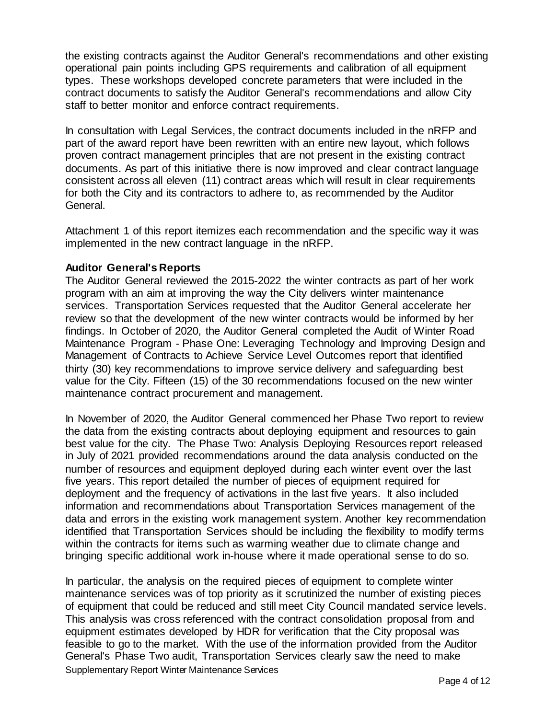the existing contracts against the Auditor General's recommendations and other existing operational pain points including GPS requirements and calibration of all equipment types. These workshops developed concrete parameters that were included in the contract documents to satisfy the Auditor General's recommendations and allow City staff to better monitor and enforce contract requirements.

In consultation with Legal Services, the contract documents included in the nRFP and part of the award report have been rewritten with an entire new layout, which follows proven contract management principles that are not present in the existing contract documents. As part of this initiative there is now improved and clear contract language consistent across all eleven (11) contract areas which will result in clear requirements for both the City and its contractors to adhere to, as recommended by the Auditor General.

Attachment 1 of this report itemizes each recommendation and the specific way it was implemented in the new contract language in the nRFP.

#### **Auditor General's Reports**

The Auditor General reviewed the 2015-2022 the winter contracts as part of her work program with an aim at improving the way the City delivers winter maintenance services. Transportation Services requested that the Auditor General accelerate her review so that the development of the new winter contracts would be informed by her findings. In October of 2020, the Auditor General completed the Audit of Winter Road Maintenance Program - Phase One: Leveraging Technology and Improving Design and Management of Contracts to Achieve Service Level Outcomes report that identified thirty (30) key recommendations to improve service delivery and safeguarding best value for the City. Fifteen (15) of the 30 recommendations focused on the new winter maintenance contract procurement and management.

In November of 2020, the Auditor General commenced her Phase Two report to review the data from the existing contracts about deploying equipment and resources to gain best value for the city. The Phase Two: Analysis Deploying Resources report released in July of 2021 provided recommendations around the data analysis conducted on the number of resources and equipment deployed during each winter event over the last five years. This report detailed the number of pieces of equipment required for deployment and the frequency of activations in the last five years. It also included information and recommendations about Transportation Services management of the data and errors in the existing work management system. Another key recommendation identified that Transportation Services should be including the flexibility to modify terms within the contracts for items such as warming weather due to climate change and bringing specific additional work in-house where it made operational sense to do so.

Supplementary Report Winter Maintenance Services In particular, the analysis on the required pieces of equipment to complete winter maintenance services was of top priority as it scrutinized the number of existing pieces of equipment that could be reduced and still meet City Council mandated service levels. This analysis was cross referenced with the contract consolidation proposal from and equipment estimates developed by HDR for verification that the City proposal was feasible to go to the market. With the use of the information provided from the Auditor General's Phase Two audit, Transportation Services clearly saw the need to make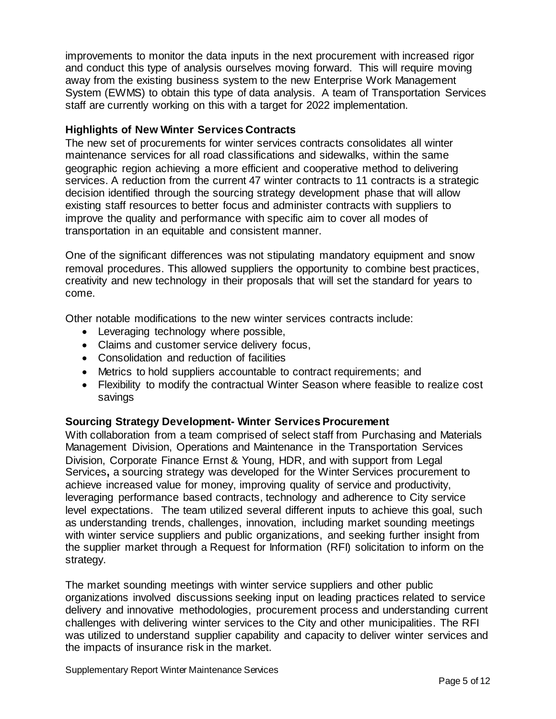improvements to monitor the data inputs in the next procurement with increased rigor and conduct this type of analysis ourselves moving forward. This will require moving away from the existing business system to the new Enterprise Work Management System (EWMS) to obtain this type of data analysis. A team of Transportation Services staff are currently working on this with a target for 2022 implementation.

# **Highlights of New Winter Services Contracts**

The new set of procurements for winter services contracts consolidates all winter maintenance services for all road classifications and sidewalks, within the same geographic region achieving a more efficient and cooperative method to delivering services. A reduction from the current 47 winter contracts to 11 contracts is a strategic decision identified through the sourcing strategy development phase that will allow existing staff resources to better focus and administer contracts with suppliers to improve the quality and performance with specific aim to cover all modes of transportation in an equitable and consistent manner.

One of the significant differences was not stipulating mandatory equipment and snow removal procedures. This allowed suppliers the opportunity to combine best practices, creativity and new technology in their proposals that will set the standard for years to come.

Other notable modifications to the new winter services contracts include:

- Leveraging technology where possible,
- Claims and customer service delivery focus,
- Consolidation and reduction of facilities
- Metrics to hold suppliers accountable to contract requirements; and
- Flexibility to modify the contractual Winter Season where feasible to realize cost savings

# **Sourcing Strategy Development- Winter Services Procurement**

With collaboration from a team comprised of select staff from Purchasing and Materials Management Division, Operations and Maintenance in the Transportation Services Division, Corporate Finance Ernst & Young, HDR, and with support from Legal Services**,** a sourcing strategy was developed for the Winter Services procurement to achieve increased value for money, improving quality of service and productivity, leveraging performance based contracts, technology and adherence to City service level expectations. The team utilized several different inputs to achieve this goal, such as understanding trends, challenges, innovation, including market sounding meetings with winter service suppliers and public organizations, and seeking further insight from the supplier market through a Request for Information (RFI) solicitation to inform on the strategy.

The market sounding meetings with winter service suppliers and other public organizations involved discussions seeking input on leading practices related to service delivery and innovative methodologies, procurement process and understanding current challenges with delivering winter services to the City and other municipalities. The RFI was utilized to understand supplier capability and capacity to deliver winter services and the impacts of insurance risk in the market.

Supplementary Report Winter Maintenance Services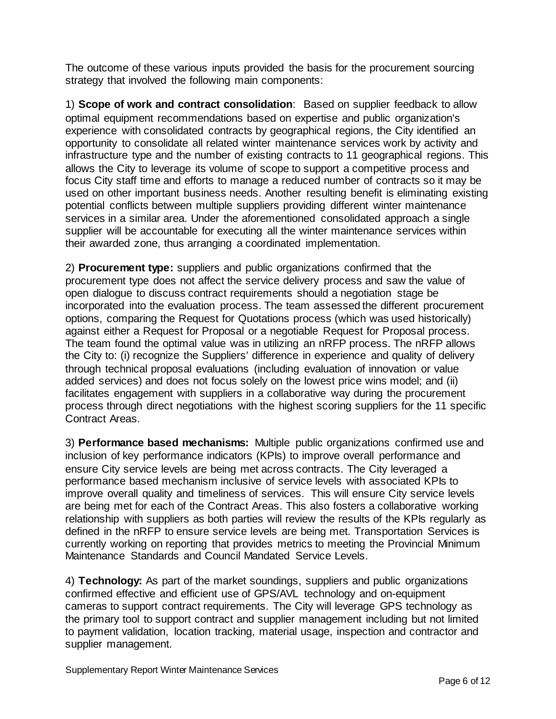The outcome of these various inputs provided the basis for the procurement sourcing strategy that involved the following main components:

1) **Scope of work and contract consolidation**: Based on supplier feedback to allow optimal equipment recommendations based on expertise and public organization's experience with consolidated contracts by geographical regions, the City identified an opportunity to consolidate all related winter maintenance services work by activity and infrastructure type and the number of existing contracts to 11 geographical regions. This allows the City to leverage its volume of scope to support a competitive process and focus City staff time and efforts to manage a reduced number of contracts so it may be used on other important business needs. Another resulting benefit is eliminating existing potential conflicts between multiple suppliers providing different winter maintenance services in a similar area. Under the aforementioned consolidated approach a single supplier will be accountable for executing all the winter maintenance services within their awarded zone, thus arranging a coordinated implementation.

2) **Procurement type:** suppliers and public organizations confirmed that the procurement type does not affect the service delivery process and saw the value of open dialogue to discuss contract requirements should a negotiation stage be incorporated into the evaluation process. The team assessed the different procurement options, comparing the Request for Quotations process (which was used historically) against either a Request for Proposal or a negotiable Request for Proposal process. The team found the optimal value was in utilizing an nRFP process. The nRFP allows the City to: (i) recognize the Suppliers' difference in experience and quality of delivery through technical proposal evaluations (including evaluation of innovation or value added services) and does not focus solely on the lowest price wins model; and (ii) facilitates engagement with suppliers in a collaborative way during the procurement process through direct negotiations with the highest scoring suppliers for the 11 specific Contract Areas.

3) **Performance based mechanisms:** Multiple public organizations confirmed use and inclusion of key performance indicators (KPIs) to improve overall performance and ensure City service levels are being met across contracts. The City leveraged a performance based mechanism inclusive of service levels with associated KPIs to improve overall quality and timeliness of services. This will ensure City service levels are being met for each of the Contract Areas. This also fosters a collaborative working relationship with suppliers as both parties will review the results of the KPIs regularly as defined in the nRFP to ensure service levels are being met. Transportation Services is currently working on reporting that provides metrics to meeting the Provincial Minimum Maintenance Standards and Council Mandated Service Levels.

4) **Technology:** As part of the market soundings, suppliers and public organizations confirmed effective and efficient use of GPS/AVL technology and on-equipment cameras to support contract requirements. The City will leverage GPS technology as the primary tool to support contract and supplier management including but not limited to payment validation, location tracking, material usage, inspection and contractor and supplier management.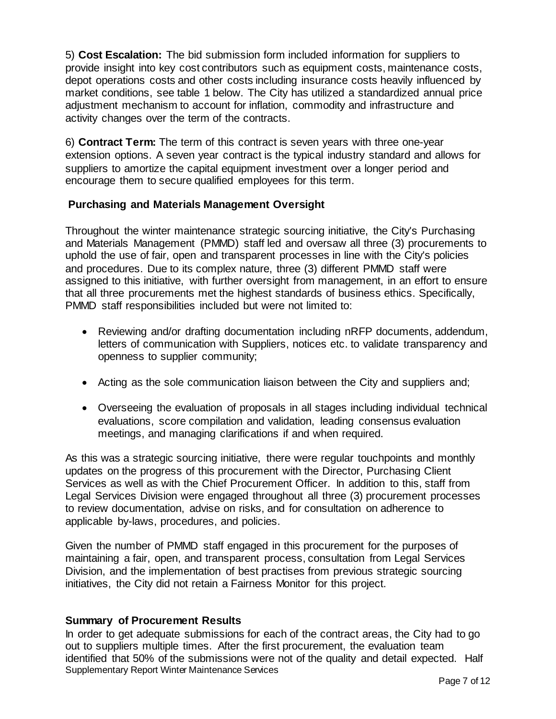5) **Cost Escalation:** The bid submission form included information for suppliers to provide insight into key cost contributors such as equipment costs, maintenance costs, depot operations costs and other costs including insurance costs heavily influenced by market conditions, see table 1 below. The City has utilized a standardized annual price adjustment mechanism to account for inflation, commodity and infrastructure and activity changes over the term of the contracts.

6) **Contract Term:** The term of this contract is seven years with three one-year extension options. A seven year contract is the typical industry standard and allows for suppliers to amortize the capital equipment investment over a longer period and encourage them to secure qualified employees for this term.

# **Purchasing and Materials Management Oversight**

Throughout the winter maintenance strategic sourcing initiative, the City's Purchasing and Materials Management (PMMD) staff led and oversaw all three (3) procurements to uphold the use of fair, open and transparent processes in line with the City's policies and procedures. Due to its complex nature, three (3) different PMMD staff were assigned to this initiative, with further oversight from management, in an effort to ensure that all three procurements met the highest standards of business ethics. Specifically, PMMD staff responsibilities included but were not limited to:

- Reviewing and/or drafting documentation including nRFP documents, addendum, letters of communication with Suppliers, notices etc. to validate transparency and openness to supplier community;
- Acting as the sole communication liaison between the City and suppliers and;
- Overseeing the evaluation of proposals in all stages including individual technical evaluations, score compilation and validation, leading consensus evaluation meetings, and managing clarifications if and when required.

As this was a strategic sourcing initiative, there were regular touchpoints and monthly updates on the progress of this procurement with the Director, Purchasing Client Services as well as with the Chief Procurement Officer. In addition to this, staff from Legal Services Division were engaged throughout all three (3) procurement processes to review documentation, advise on risks, and for consultation on adherence to applicable by-laws, procedures, and policies.

Given the number of PMMD staff engaged in this procurement for the purposes of maintaining a fair, open, and transparent process, consultation from Legal Services Division, and the implementation of best practises from previous strategic sourcing initiatives, the City did not retain a Fairness Monitor for this project.

# **Summary of Procurement Results**

Supplementary Report Winter Maintenance Services In order to get adequate submissions for each of the contract areas, the City had to go out to suppliers multiple times. After the first procurement, the evaluation team identified that 50% of the submissions were not of the quality and detail expected. Half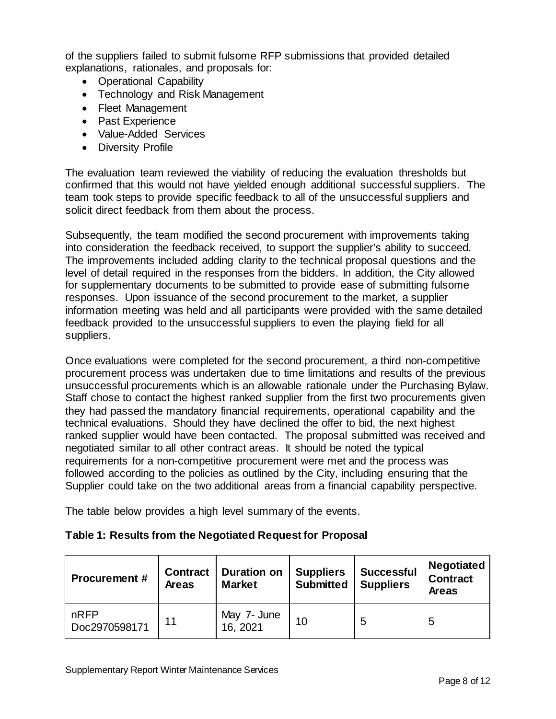of the suppliers failed to submit fulsome RFP submissions that provided detailed explanations, rationales, and proposals for:

- Operational Capability
- Technology and Risk Management
- Fleet Management
- Past Experience
- Value-Added Services
- Diversity Profile

The evaluation team reviewed the viability of reducing the evaluation thresholds but confirmed that this would not have yielded enough additional successful suppliers. The team took steps to provide specific feedback to all of the unsuccessful suppliers and solicit direct feedback from them about the process.

Subsequently, the team modified the second procurement with improvements taking into consideration the feedback received, to support the supplier's ability to succeed. The improvements included adding clarity to the technical proposal questions and the level of detail required in the responses from the bidders. In addition, the City allowed for supplementary documents to be submitted to provide ease of submitting fulsome responses. Upon issuance of the second procurement to the market, a supplier information meeting was held and all participants were provided with the same detailed feedback provided to the unsuccessful suppliers to even the playing field for all suppliers.

Once evaluations were completed for the second procurement, a third non-competitive procurement process was undertaken due to time limitations and results of the previous unsuccessful procurements which is an allowable rationale under the Purchasing Bylaw. Staff chose to contact the highest ranked supplier from the first two procurements given they had passed the mandatory financial requirements, operational capability and the technical evaluations. Should they have declined the offer to bid, the next highest ranked supplier would have been contacted. The proposal submitted was received and negotiated similar to all other contract areas. It should be noted the typical requirements for a non-competitive procurement were met and the process was followed according to the policies as outlined by the City, including ensuring that the Supplier could take on the two additional areas from a financial capability perspective.

The table below provides a high level summary of the events.

# **Table 1: Results from the Negotiated Request for Proposal**

| <b>Procurement #</b>  | <b>Contract</b><br><b>Areas</b> | <b>Duration on</b><br><b>Market</b> | <b>Suppliers</b><br><b>Submitted</b> | <b>Successful</b><br><b>Suppliers</b> | <b>Negotiated</b><br><b>Contract</b><br><b>Areas</b> |
|-----------------------|---------------------------------|-------------------------------------|--------------------------------------|---------------------------------------|------------------------------------------------------|
| nRFP<br>Doc2970598171 | 11                              | May 7- June<br>16, 2021             | 10                                   | 5                                     | 5                                                    |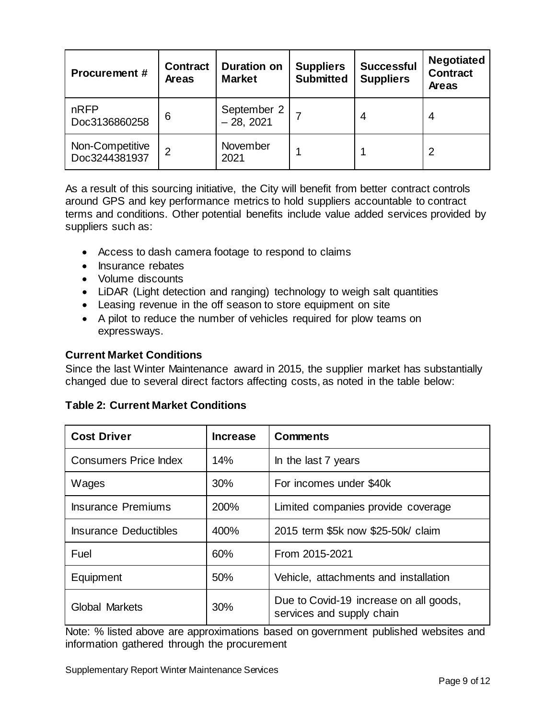| <b>Procurement #</b>             | <b>Contract</b><br><b>Areas</b> | <b>Duration on</b><br><b>Market</b> | <b>Suppliers</b><br><b>Submitted</b> | <b>Successful</b><br><b>Suppliers</b> | <b>Negotiated</b><br><b>Contract</b><br>Areas |
|----------------------------------|---------------------------------|-------------------------------------|--------------------------------------|---------------------------------------|-----------------------------------------------|
| nRFP<br>Doc3136860258            | 6                               | September 2<br>- 28, 2021           |                                      | 4                                     | 4                                             |
| Non-Competitive<br>Doc3244381937 | 2                               | November<br>2021                    |                                      |                                       | 2                                             |

As a result of this sourcing initiative, the City will benefit from better contract controls around GPS and key performance metrics to hold suppliers accountable to contract terms and conditions. Other potential benefits include value added services provided by suppliers such as:

- Access to dash camera footage to respond to claims
- Insurance rebates
- Volume discounts
- LiDAR (Light detection and ranging) technology to weigh salt quantities
- Leasing revenue in the off season to store equipment on site
- A pilot to reduce the number of vehicles required for plow teams on expressways.

# **Current Market Conditions**

Since the last Winter Maintenance award in 2015, the supplier market has substantially changed due to several direct factors affecting costs, as noted in the table below:

|  |  |  | <b>Table 2: Current Market Conditions</b> |
|--|--|--|-------------------------------------------|
|--|--|--|-------------------------------------------|

| <b>Cost Driver</b>           | <b>Increase</b> | <b>Comments</b>                                                     |  |
|------------------------------|-----------------|---------------------------------------------------------------------|--|
| <b>Consumers Price Index</b> | 14%             | In the last 7 years                                                 |  |
| Wages                        | 30%             | For incomes under \$40k                                             |  |
| <b>Insurance Premiums</b>    | 200%            | Limited companies provide coverage                                  |  |
| <b>Insurance Deductibles</b> | 400%            | 2015 term \$5k now \$25-50k/ claim                                  |  |
| Fuel                         | 60%             | From 2015-2021                                                      |  |
| Equipment                    | 50%             | Vehicle, attachments and installation                               |  |
| Global Markets               | 30%             | Due to Covid-19 increase on all goods,<br>services and supply chain |  |

Note: % listed above are approximations based on government published websites and information gathered through the procurement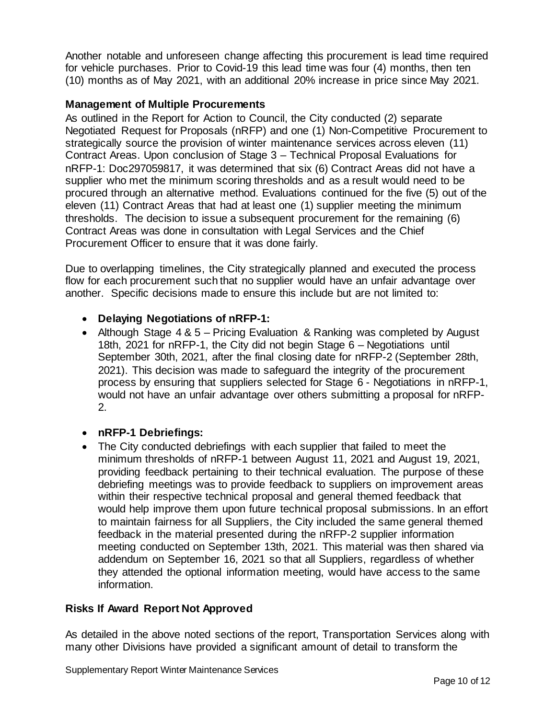Another notable and unforeseen change affecting this procurement is lead time required for vehicle purchases. Prior to Covid-19 this lead time was four (4) months, then ten (10) months as of May 2021, with an additional 20% increase in price since May 2021.

# **Management of Multiple Procurements**

As outlined in the Report for Action to Council, the City conducted (2) separate Negotiated Request for Proposals (nRFP) and one (1) Non-Competitive Procurement to strategically source the provision of winter maintenance services across eleven (11) Contract Areas. Upon conclusion of Stage 3 – Technical Proposal Evaluations for nRFP-1: Doc297059817, it was determined that six (6) Contract Areas did not have a supplier who met the minimum scoring thresholds and as a result would need to be procured through an alternative method. Evaluations continued for the five (5) out of the eleven (11) Contract Areas that had at least one (1) supplier meeting the minimum thresholds. The decision to issue a subsequent procurement for the remaining (6) Contract Areas was done in consultation with Legal Services and the Chief Procurement Officer to ensure that it was done fairly.

Due to overlapping timelines, the City strategically planned and executed the process flow for each procurement such that no supplier would have an unfair advantage over another. Specific decisions made to ensure this include but are not limited to:

#### • **Delaying Negotiations of nRFP-1:**

- Although Stage 4 & 5 Pricing Evaluation & Ranking was completed by August 18th, 2021 for nRFP-1, the City did not begin Stage 6 – Negotiations until September 30th, 2021, after the final closing date for nRFP-2 (September 28th, 2021). This decision was made to safeguard the integrity of the procurement process by ensuring that suppliers selected for Stage 6 - Negotiations in nRFP-1, would not have an unfair advantage over others submitting a proposal for nRFP-2.
- **nRFP-1 Debriefings:**
- The City conducted debriefings with each supplier that failed to meet the minimum thresholds of nRFP-1 between August 11, 2021 and August 19, 2021, providing feedback pertaining to their technical evaluation. The purpose of these debriefing meetings was to provide feedback to suppliers on improvement areas within their respective technical proposal and general themed feedback that would help improve them upon future technical proposal submissions. In an effort to maintain fairness for all Suppliers, the City included the same general themed feedback in the material presented during the nRFP-2 supplier information meeting conducted on September 13th, 2021. This material was then shared via addendum on September 16, 2021 so that all Suppliers, regardless of whether they attended the optional information meeting, would have access to the same information.

# **Risks If Award Report Not Approved**

As detailed in the above noted sections of the report, Transportation Services along with many other Divisions have provided a significant amount of detail to transform the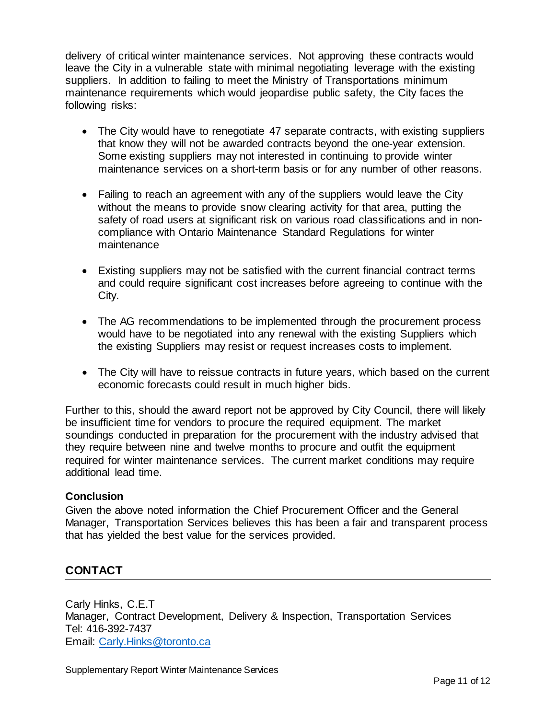delivery of critical winter maintenance services. Not approving these contracts would leave the City in a vulnerable state with minimal negotiating leverage with the existing suppliers. In addition to failing to meet the Ministry of Transportations minimum maintenance requirements which would jeopardise public safety, the City faces the following risks:

- The City would have to renegotiate 47 separate contracts, with existing suppliers that know they will not be awarded contracts beyond the one-year extension. Some existing suppliers may not interested in continuing to provide winter maintenance services on a short-term basis or for any number of other reasons.
- Failing to reach an agreement with any of the suppliers would leave the City without the means to provide snow clearing activity for that area, putting the safety of road users at significant risk on various road classifications and in noncompliance with Ontario Maintenance Standard Regulations for winter maintenance
- Existing suppliers may not be satisfied with the current financial contract terms and could require significant cost increases before agreeing to continue with the City.
- The AG recommendations to be implemented through the procurement process would have to be negotiated into any renewal with the existing Suppliers which the existing Suppliers may resist or request increases costs to implement.
- The City will have to reissue contracts in future years, which based on the current economic forecasts could result in much higher bids.

Further to this, should the award report not be approved by City Council, there will likely be insufficient time for vendors to procure the required equipment. The market soundings conducted in preparation for the procurement with the industry advised that they require between nine and twelve months to procure and outfit the equipment required for winter maintenance services. The current market conditions may require additional lead time.

# **Conclusion**

Given the above noted information the Chief Procurement Officer and the General Manager, Transportation Services believes this has been a fair and transparent process that has yielded the best value for the services provided.

# **CONTACT**

Carly Hinks, C.E.T Manager, Contract Development, Delivery & Inspection, Transportation Services Tel: 416-392-7437 Email: [Carly.Hinks@toronto.ca](mailto:Carly.Hinks@toronto.ca)

Supplementary Report Winter Maintenance Services